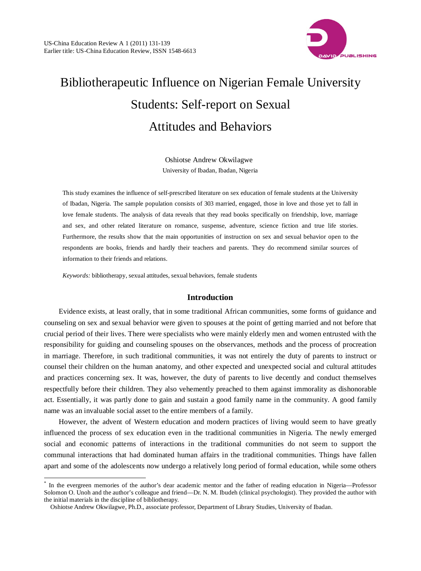

# Bibliotherapeutic Influence on Nigerian Female University Students: Self-report on Sexual Attitudes and Behaviors

Oshiotse Andrew Okwilagwe University of Ibadan, Ibadan, Nigeria

This study examines the influence of self-prescribed literature on sex education of female students at the University of Ibadan, Nigeria. The sample population consists of 303 married, engaged, those in love and those yet to fall in love female students. The analysis of data reveals that they read books specifically on friendship, love, marriage and sex, and other related literature on romance, suspense, adventure, science fiction and true life stories. Furthermore, the results show that the main opportunities of instruction on sex and sexual behavior open to the respondents are books, friends and hardly their teachers and parents. They do recommend similar sources of information to their friends and relations.

*Keywords:* bibliotherapy, sexual attitudes, sexual behaviors, female students

# **Introduction**

Evidence exists, at least orally, that in some traditional African communities, some forms of guidance and counseling on sex and sexual behavior were given to spouses at the point of getting married and not before that crucial period of their lives. There were specialists who were mainly elderly men and women entrusted with the responsibility for guiding and counseling spouses on the observances, methods and the process of procreation in marriage. Therefore, in such traditional communities, it was not entirely the duty of parents to instruct or counsel their children on the human anatomy, and other expected and unexpected social and cultural attitudes and practices concerning sex. It was, however, the duty of parents to live decently and conduct themselves respectfully before their children. They also vehemently preached to them against immorality as dishonorable act. Essentially, it was partly done to gain and sustain a good family name in the community. A good family name was an invaluable social asset to the entire members of a family.

However, the advent of Western education and modern practices of living would seem to have greatly influenced the process of sex education even in the traditional communities in Nigeria. The newly emerged social and economic patterns of interactions in the traditional communities do not seem to support the communal interactions that had dominated human affairs in the traditional communities. Things have fallen apart and some of the adolescents now undergo a relatively long period of formal education, while some others

 <sup>\*</sup> In the evergreen memories of the author's dear academic mentor and the father of reading education in Nigeria—Professor Solomon O. Unoh and the author's colleague and friend—Dr. N. M. Ibudeh (clinical psychologist). They provided the author with the initial materials in the discipline of bibliotherapy.

Oshiotse Andrew Okwilagwe, Ph.D., associate professor, Department of Library Studies, University of Ibadan.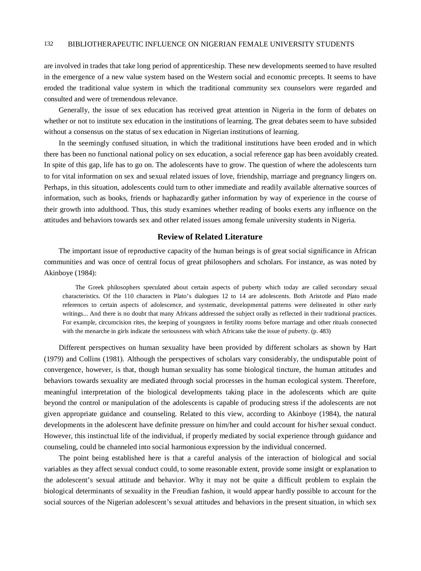are involved in trades that take long period of apprenticeship. These new developments seemed to have resulted in the emergence of a new value system based on the Western social and economic precepts. It seems to have eroded the traditional value system in which the traditional community sex counselors were regarded and consulted and were of tremendous relevance.

Generally, the issue of sex education has received great attention in Nigeria in the form of debates on whether or not to institute sex education in the institutions of learning. The great debates seem to have subsided without a consensus on the status of sex education in Nigerian institutions of learning.

In the seemingly confused situation, in which the traditional institutions have been eroded and in which there has been no functional national policy on sex education, a social reference gap has been avoidably created. In spite of this gap, life has to go on. The adolescents have to grow. The question of where the adolescents turn to for vital information on sex and sexual related issues of love, friendship, marriage and pregnancy lingers on. Perhaps, in this situation, adolescents could turn to other immediate and readily available alternative sources of information, such as books, friends or haphazardly gather information by way of experience in the course of their growth into adulthood. Thus, this study examines whether reading of books exerts any influence on the attitudes and behaviors towards sex and other related issues among female university students in Nigeria.

# **Review of Related Literature**

The important issue of reproductive capacity of the human beings is of great social significance in African communities and was once of central focus of great philosophers and scholars. For instance, as was noted by Akinboye (1984):

The Greek philosophers speculated about certain aspects of puberty which today are called secondary sexual characteristics. Of the 110 characters in Plato's dialogues 12 to 14 are adolescents. Both Aristotle and Plato made references to certain aspects of adolescence, and systematic, developmental patterns were delineated in other early writings... And there is no doubt that many Africans addressed the subject orally as reflected in their traditional practices. For example, circumcision rites, the keeping of youngsters in fertility rooms before marriage and other rituals connected with the menarche in girls indicate the seriousness with which Africans take the issue of puberty. (p. 483)

Different perspectives on human sexuality have been provided by different scholars as shown by Hart (1979) and Collins (1981). Although the perspectives of scholars vary considerably, the undisputable point of convergence, however, is that, though human sexuality has some biological tincture, the human attitudes and behaviors towards sexuality are mediated through social processes in the human ecological system. Therefore, meaningful interpretation of the biological developments taking place in the adolescents which are quite beyond the control or manipulation of the adolescents is capable of producing stress if the adolescents are not given appropriate guidance and counseling. Related to this view, according to Akinboye (1984), the natural developments in the adolescent have definite pressure on him/her and could account for his/her sexual conduct. However, this instinctual life of the individual, if properly mediated by social experience through guidance and counseling, could be channeled into social harmonious expression by the individual concerned.

The point being established here is that a careful analysis of the interaction of biological and social variables as they affect sexual conduct could, to some reasonable extent, provide some insight or explanation to the adolescent's sexual attitude and behavior. Why it may not be quite a difficult problem to explain the biological determinants of sexuality in the Freudian fashion, it would appear hardly possible to account for the social sources of the Nigerian adolescent's sexual attitudes and behaviors in the present situation, in which sex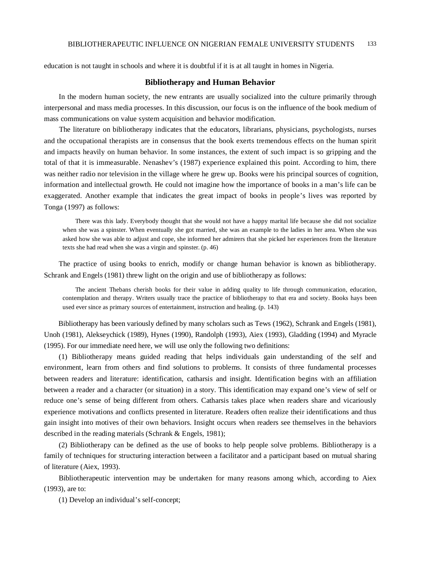education is not taught in schools and where it is doubtful if it is at all taught in homes in Nigeria.

#### **Bibliotherapy and Human Behavior**

In the modern human society, the new entrants are usually socialized into the culture primarily through interpersonal and mass media processes. In this discussion, our focus is on the influence of the book medium of mass communications on value system acquisition and behavior modification.

The literature on bibliotherapy indicates that the educators, librarians, physicians, psychologists, nurses and the occupational therapists are in consensus that the book exerts tremendous effects on the human spirit and impacts heavily on human behavior. In some instances, the extent of such impact is so gripping and the total of that it is immeasurable. Nenashev's (1987) experience explained this point. According to him, there was neither radio nor television in the village where he grew up. Books were his principal sources of cognition, information and intellectual growth. He could not imagine how the importance of books in a man's life can be exaggerated. Another example that indicates the great impact of books in people's lives was reported by Tonga (1997) as follows:

There was this lady. Everybody thought that she would not have a happy marital life because she did not socialize when she was a spinster. When eventually she got married, she was an example to the ladies in her area. When she was asked how she was able to adjust and cope, she informed her admirers that she picked her experiences from the literature texts she had read when she was a virgin and spinster. (p. 46)

The practice of using books to enrich, modify or change human behavior is known as bibliotherapy. Schrank and Engels (1981) threw light on the origin and use of bibliotherapy as follows:

The ancient Thebans cherish books for their value in adding quality to life through communication, education, contemplation and therapy. Writers usually trace the practice of bibliotherapy to that era and society. Books hays been used ever since as primary sources of entertainment, instruction and healing. (p. 143)

Bibliotherapy has been variously defined by many scholars such as Tews (1962), Schrank and Engels (1981), Unoh (1981), Alekseychick (1989), Hynes (1990), Randolph (1993), Aiex (1993), Gladding (1994) and Myracle (1995). For our immediate need here, we will use only the following two definitions:

(1) Bibliotherapy means guided reading that helps individuals gain understanding of the self and environment, learn from others and find solutions to problems. It consists of three fundamental processes between readers and literature: identification, catharsis and insight. Identification begins with an affiliation between a reader and a character (or situation) in a story. This identification may expand one's view of self or reduce one's sense of being different from others. Catharsis takes place when readers share and vicariously experience motivations and conflicts presented in literature. Readers often realize their identifications and thus gain insight into motives of their own behaviors. Insight occurs when readers see themselves in the behaviors described in the reading materials (Schrank & Engels, 1981);

(2) Bibliotherapy can be defined as the use of books to help people solve problems. Bibliotherapy is a family of techniques for structuring interaction between a facilitator and a participant based on mutual sharing of literature (Aiex, 1993).

Bibliotherapeutic intervention may be undertaken for many reasons among which, according to Aiex (1993), are to:

(1) Develop an individual's self-concept;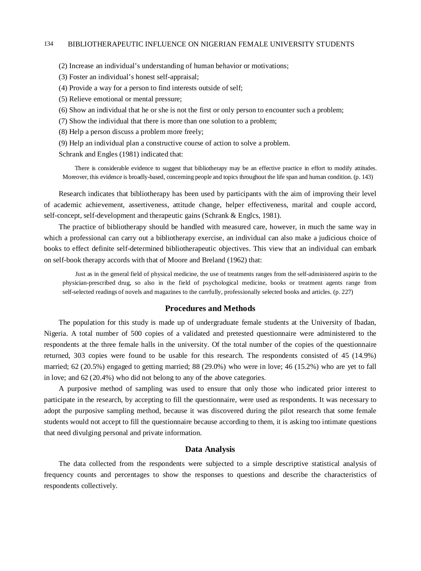### 134 BIBLIOTHERAPEUTIC INFLUENCE ON NIGERIAN FEMALE UNIVERSITY STUDENTS

(2) Increase an individual's understanding of human behavior or motivations;

- (3) Foster an individual's honest self-appraisal;
- (4) Provide a way for a person to find interests outside of self;
- (5) Relieve emotional or mental pressure;
- (6) Show an individual that he or she is not the first or only person to encounter such a problem;
- (7) Show the individual that there is more than one solution to a problem;
- (8) Help a person discuss a problem more freely;
- (9) Help an individual plan a constructive course of action to solve a problem.

Schrank and Engles (1981) indicated that:

There is considerable evidence to suggest that bibliotherapy may be an effective practice in effort to modify attitudes. Moreover, this evidence is broadly-based, concerning people and topics throughout the life span and human condition. (p. 143)

Research indicates that bibliotherapy has been used by participants with the aim of improving their level of academic achievement, assertiveness, attitude change, helper effectiveness, marital and couple accord, self-concept, self-development and therapeutic gains (Schrank & Englcs, 1981).

The practice of bibliotherapy should be handled with measured care, however, in much the same way in which a professional can carry out a bibliotherapy exercise, an individual can also make a judicious choice of books to effect definite self-determined bibliotherapeutic objectives. This view that an individual can embark on self-book therapy accords with that of Moore and Breland (1962) that:

Just as in the general field of physical medicine, the use of treatments ranges from the self-administered aspirin to the physician-prescribed drug, so also in the field of psychological medicine, books or treatment agents range from self-selected readings of novels and magazines to the carefully, professionally selected books and articles. (p. 227)

### **Procedures and Methods**

The population for this study is made up of undergraduate female students at the University of Ibadan, Nigeria. A total number of 500 copies of a validated and pretested questionnaire were administered to the respondents at the three female halls in the university. Of the total number of the copies of the questionnaire returned, 303 copies were found to be usable for this research. The respondents consisted of 45 (14.9%) married; 62 (20.5%) engaged to getting married; 88 (29.0%) who were in love; 46 (15.2%) who are yet to fall in love; and 62 (20.4%) who did not belong to any of the above categories.

A purposive method of sampling was used to ensure that only those who indicated prior interest to participate in the research, by accepting to fill the questionnaire, were used as respondents. It was necessary to adopt the purposive sampling method, because it was discovered during the pilot research that some female students would not accept to fill the questionnaire because according to them, it is asking too intimate questions that need divulging personal and private information.

# **Data Analysis**

The data collected from the respondents were subjected to a simple descriptive statistical analysis of frequency counts and percentages to show the responses to questions and describe the characteristics of respondents collectively.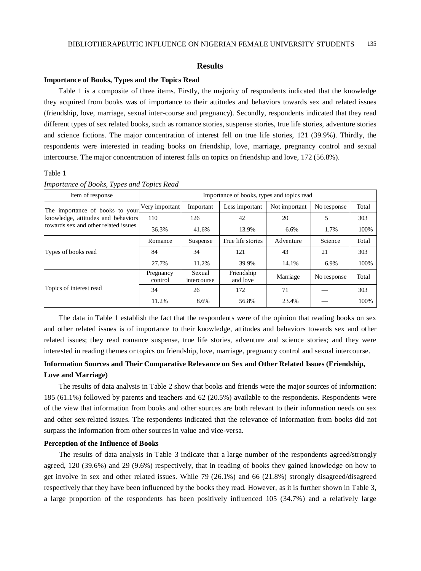#### **Results**

#### **Importance of Books, Types and the Topics Read**

Table 1 is a composite of three items. Firstly, the majority of respondents indicated that the knowledge they acquired from books was of importance to their attitudes and behaviors towards sex and related issues (friendship, love, marriage, sexual inter-course and pregnancy). Secondly, respondents indicated that they read different types of sex related books, such as romance stories, suspense stories, true life stories, adventure stories and science fictions. The major concentration of interest fell on true life stories, 121 (39.9%). Thirdly, the respondents were interested in reading books on friendship, love, marriage, pregnancy control and sexual intercourse. The major concentration of interest falls on topics on friendship and love, 172 (56.8%).

Table 1

| Item of response                     |                      | Importance of books, types and topics read |                        |               |             |       |  |
|--------------------------------------|----------------------|--------------------------------------------|------------------------|---------------|-------------|-------|--|
| The importance of books to your      | Very important       | Important                                  | Less important         | Not important | No response | Total |  |
| knowledge, attitudes and behaviors   | 110                  | 126                                        | 42                     | 20            | 5           | 303   |  |
| towards sex and other related issues | 36.3%                | 41.6%                                      | 13.9%                  | 6.6%          | 1.7%        | 100%  |  |
|                                      | Romance              | Suspense                                   | True life stories      | Adventure     | Science     | Total |  |
| Types of books read                  | 84                   | 34                                         | 121                    | 43            | 21          | 303   |  |
|                                      | 27.7%                | 11.2%                                      | 39.9%                  | 14.1%         | 6.9%        | 100\% |  |
|                                      | Pregnancy<br>control | Sexual<br>intercourse                      | Friendship<br>and love | Marriage      | No response | Total |  |
| Topics of interest read              | 34                   | 26                                         | 172                    | 71            |             | 303   |  |
|                                      | 11.2%                | 8.6%                                       | 56.8%                  | 23.4%         |             | 100%  |  |

#### *Importance of Books, Types and Topics Read*

The data in Table 1 establish the fact that the respondents were of the opinion that reading books on sex and other related issues is of importance to their knowledge, attitudes and behaviors towards sex and other related issues; they read romance suspense, true life stories, adventure and science stories; and they were interested in reading themes or topics on friendship, love, marriage, pregnancy control and sexual intercourse.

# **Information Sources and Their Comparative Relevance on Sex and Other Related Issues (Friendship, Love and Marriage)**

The results of data analysis in Table 2 show that books and friends were the major sources of information: 185 (61.1%) followed by parents and teachers and 62 (20.5%) available to the respondents. Respondents were of the view that information from books and other sources are both relevant to their information needs on sex and other sex-related issues. The respondents indicated that the relevance of information from books did not surpass the information from other sources in value and vice-versa.

#### **Perception of the Influence of Books**

The results of data analysis in Table 3 indicate that a large number of the respondents agreed/strongly agreed, 120 (39.6%) and 29 (9.6%) respectively, that in reading of books they gained knowledge on how to get involve in sex and other related issues. While 79 (26.1%) and 66 (21.8%) strongly disagreed/disagreed respectively that they have been influenced by the books they read. However, as it is further shown in Table 3, a large proportion of the respondents has been positively influenced 105 (34.7%) and a relatively large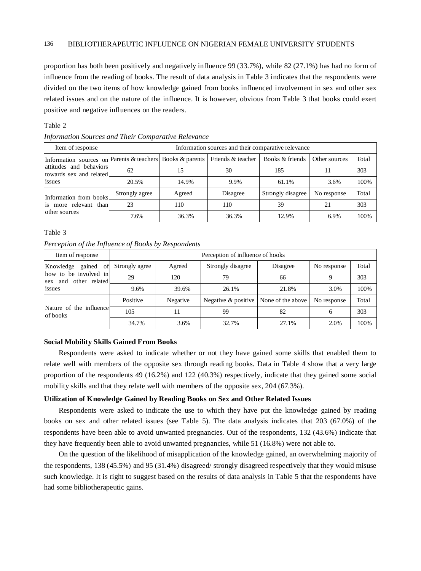proportion has both been positively and negatively influence 99 (33.7%), while 82 (27.1%) has had no form of influence from the reading of books. The result of data analysis in Table 3 indicates that the respondents were divided on the two items of how knowledge gained from books influenced involvement in sex and other sex related issues and on the nature of the influence. It is however, obvious from Table 3 that books could exert positive and negative influences on the readers.

#### Table 2

| Item of response                                                                                                |                | Information sources and their comparative relevance    |          |                   |             |       |  |
|-----------------------------------------------------------------------------------------------------------------|----------------|--------------------------------------------------------|----------|-------------------|-------------|-------|--|
| Information sources on Parents & teachers<br>attitudes and behaviors<br>62<br>towards sex and related<br>issues |                | Books & parents   Friends & teacher<br>Books & friends |          | Other sources     | Total       |       |  |
|                                                                                                                 |                | 15                                                     | 30       | 185               |             | 303   |  |
|                                                                                                                 | 20.5%          | 14.9%                                                  | 9.9%     | 61.1%             | 3.6%        | 100%  |  |
| Information from books                                                                                          | Strongly agree | Agreed                                                 | Disagree | Strongly disagree | No response | Total |  |
| is more relevant than                                                                                           | 23             | 110                                                    | 110      | 39                | 21          | 303   |  |
| other sources                                                                                                   | 7.6%           | 36.3%                                                  | 36.3%    | 12.9%             | 6.9%        | 100%  |  |

*Information Sources and Their Comparative Relevance*

#### Table 3

*Perception of the Influence of Books by Respondents*

| Item of response                                  | Perception of influence of hooks |          |                        |                   |             |       |
|---------------------------------------------------|----------------------------------|----------|------------------------|-------------------|-------------|-------|
| Knowledge<br>gained of                            | Strongly agree                   | Agreed   | Strongly disagree      | Disagree          | No response | Total |
| how to be involved in<br>and other related<br>sex | 29                               | 120      | 79                     | 66                | 9           | 303   |
| issues                                            | 9.6%                             | 39.6%    | 26.1%                  | 21.8%             | 3.0%        | 100%  |
|                                                   | Positive                         | Negative | Negative $\&$ positive | None of the above | No response | Total |
| Nature of the influence<br>of books               | 105                              | 11       | 99                     | 82                | 6           | 303   |
|                                                   | 34.7%                            | 3.6%     | 32.7%                  | 27.1%             | 2.0%        | 100%  |

#### **Social Mobility Skills Gained From Books**

Respondents were asked to indicate whether or not they have gained some skills that enabled them to relate well with members of the opposite sex through reading books. Data in Table 4 show that a very large proportion of the respondents 49 (16.2%) and 122 (40.3%) respectively, indicate that they gained some social mobility skills and that they relate well with members of the opposite sex, 204 (67.3%).

#### **Utilization of Knowledge Gained by Reading Books on Sex and Other Related Issues**

Respondents were asked to indicate the use to which they have put the knowledge gained by reading books on sex and other related issues (see Table 5). The data analysis indicates that 203 (67.0%) of the respondents have been able to avoid unwanted pregnancies. Out of the respondents, 132 (43.6%) indicate that they have frequently been able to avoid unwanted pregnancies, while 51 (16.8%) were not able to.

On the question of the likelihood of misapplication of the knowledge gained, an overwhelming majority of the respondents, 138 (45.5%) and 95 (31.4%) disagreed/ strongly disagreed respectively that they would misuse such knowledge. It is right to suggest based on the results of data analysis in Table 5 that the respondents have had some bibliotherapeutic gains.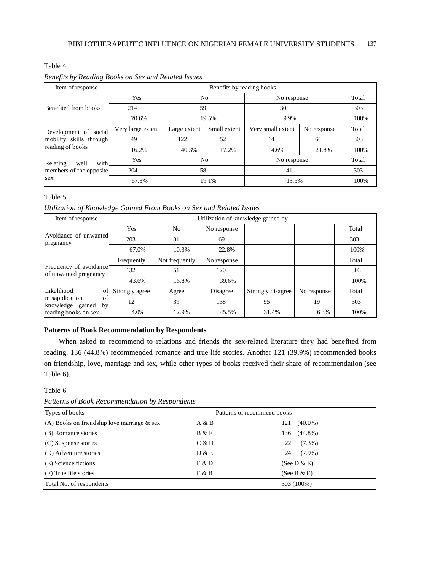# Table 4

| Benefits by Reading Books on Sex and Related Issues |  |  |  |
|-----------------------------------------------------|--|--|--|
|                                                     |  |  |  |

| Item of response                                                     | Benefits by reading books |                      |              |                   |             |       |  |
|----------------------------------------------------------------------|---------------------------|----------------------|--------------|-------------------|-------------|-------|--|
|                                                                      | Yes                       | N <sub>0</sub><br>59 |              | No response       | Total       |       |  |
| Benefited from books                                                 | 214                       |                      |              | 30                | 303         |       |  |
|                                                                      | 70.6%                     | 19.5%                |              | 9.9%              |             | 100%  |  |
| Development of social<br>mobility skills through<br>reading of books | Very large extent         | Large extent         | Small extent | Very small extent | No response | Total |  |
|                                                                      | 49                        | 122                  | 52           | 14                | 66          | 303   |  |
|                                                                      | 16.2%                     | 40.3%                | 17.2%        | 4.6%              | 21.8%       | 100%  |  |
| with<br>Relating<br>well                                             | Yes                       | N <sub>0</sub>       |              | No response       |             | Total |  |
| members of the opposite                                              | 204                       | 58                   |              | 41                |             | 303   |  |
| sex                                                                  | 67.3%                     |                      | 19.1%        | 13.5%             |             | 100%  |  |

# Table 5

*Utilization of Knowledge Gained From Books on Sex and Related Issues*

| Item of response                                  | Utilization of knowledge gained by |                |             |                   |             |       |
|---------------------------------------------------|------------------------------------|----------------|-------------|-------------------|-------------|-------|
|                                                   | Yes                                | No             | No response |                   |             | Total |
| Avoidance of unwanted<br>pregnancy                | 203                                | 31             | 69          |                   |             | 303   |
|                                                   | 67.0%                              | 10.3%          | 22.8%       |                   |             | 100%  |
|                                                   | Frequently                         | Not frequently | No response |                   |             | Total |
| Frequency of avoidance<br>of unwanted pregnancy   | 132                                | 51             | 120         |                   |             | 303   |
|                                                   | 43.6%                              | 16.8%          | 39.6%       |                   |             | 100%  |
| Likelihood<br>of                                  | Strongly agree                     | Agree          | Disagree    | Strongly disagree | No response | Total |
| misapplication<br>οt<br>knowledge<br>gained<br>by | 12                                 | 39             | 138         | 95                | 19          | 303   |
| reading books on sex                              | 4.0%                               | 12.9%          | 45.5%       | 31.4%             | 6.3%        | 100%  |

# **Patterns of Book Recommendation by Respondents**

When asked to recommend to relations and friends the sex-related literature they had benefited from reading, 136 (44.8%) recommended romance and true life stories. Another 121 (39.9%) recommended books on friendship, love, marriage and sex, while other types of books received their share of recommendation (see Table 6).

#### Table 6

*Patterns of Book Recommendation by Respondents*

| Types of books                                 | Patterns of recommend books |                   |  |  |  |
|------------------------------------------------|-----------------------------|-------------------|--|--|--|
| (A) Books on friendship love marriage $\&$ sex | A & B                       | $(40.0\%)$<br>121 |  |  |  |
| (B) Romance stories                            | B & F                       | $(44.8\%)$<br>136 |  |  |  |
| (C) Suspense stories                           | C & D                       | $(7.3\%)$<br>22   |  |  |  |
| (D) Adventure stories                          | D & E                       | $(7.9\%)$<br>24   |  |  |  |
| (E) Science fictions                           | E & D                       | (See $D & E$ )    |  |  |  |
| (F) True life stories                          | F & B                       | (See B $\&$ F)    |  |  |  |
| Total No. of respondents                       |                             | 303 (100%)        |  |  |  |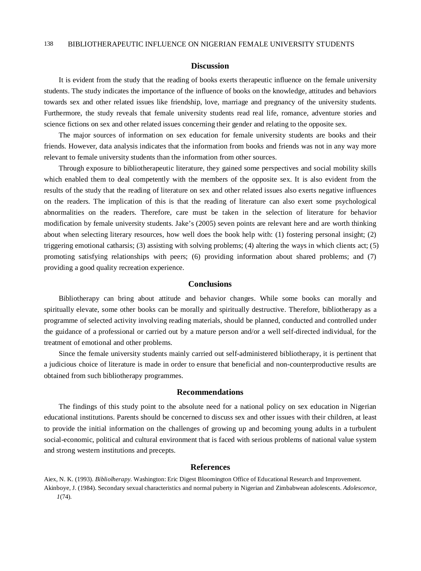#### **Discussion**

It is evident from the study that the reading of books exerts therapeutic influence on the female university students. The study indicates the importance of the influence of books on the knowledge, attitudes and behaviors towards sex and other related issues like friendship, love, marriage and pregnancy of the university students. Furthermore, the study reveals that female university students read real life, romance, adventure stories and science fictions on sex and other related issues concerning their gender and relating to the opposite sex.

The major sources of information on sex education for female university students are books and their friends. However, data analysis indicates that the information from books and friends was not in any way more relevant to female university students than the information from other sources.

Through exposure to bibliotherapeutic literature, they gained some perspectives and social mobility skills which enabled them to deal competently with the members of the opposite sex. It is also evident from the results of the study that the reading of literature on sex and other related issues also exerts negative influences on the readers. The implication of this is that the reading of literature can also exert some psychological abnormalities on the readers. Therefore, care must be taken in the selection of literature for behavior modification by female university students. Jake's (2005) seven points are relevant here and are worth thinking about when selecting literary resources, how well does the book help with: (1) fostering personal insight; (2) triggering emotional catharsis; (3) assisting with solving problems; (4) altering the ways in which clients act; (5) promoting satisfying relationships with peers; (6) providing information about shared problems; and (7) providing a good quality recreation experience.

#### **Conclusions**

Bibliotherapy can bring about attitude and behavior changes. While some books can morally and spiritually elevate, some other books can be morally and spiritually destructive. Therefore, bibliotherapy as a programme of selected activity involving reading materials, should be planned, conducted and controlled under the guidance of a professional or carried out by a mature person and/or a well self-directed individual, for the treatment of emotional and other problems.

Since the female university students mainly carried out self-administered bibliotherapy, it is pertinent that a judicious choice of literature is made in order to ensure that beneficial and non-counterproductive results are obtained from such bibliotherapy programmes.

### **Recommendations**

The findings of this study point to the absolute need for a national policy on sex education in Nigerian educational institutions. Parents should be concerned to discuss sex and other issues with their children, at least to provide the initial information on the challenges of growing up and becoming young adults in a turbulent social-economic, political and cultural environment that is faced with serious problems of national value system and strong western institutions and precepts.

#### **References**

Aiex, N. K. (1993). *Bibliolherapy.* Washington: Eric Digest Bloomington Office of Educational Research and Improvement. Akinboye, J. (1984). Secondary sexual characteristics and normal puberty in Nigerian and Zimbabwean adolescents. *Adolescence, 1*(74).